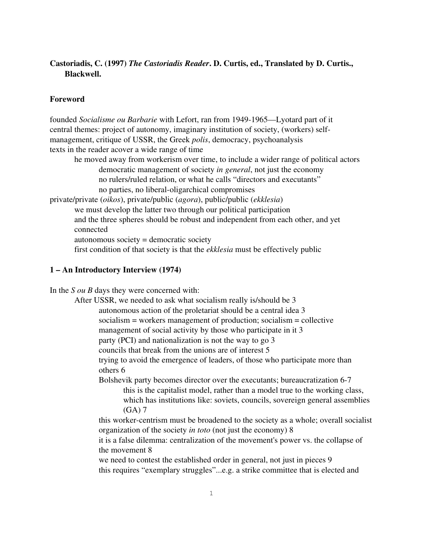# Castoriadis, C. (1997) *The Castoriadis Reader*. D. Curtis, ed., Translated by D. Curtis., Blackwell.

## Foreword

founded *Socialisme ou Barbarie* with Lefort, ran from 1949-1965—Lyotard part of it central themes: project of autonomy, imaginary institution of society, (workers) selfmanagement, critique of USSR, the Greek *polis*, democracy, psychoanalysis texts in the reader acover a wide range of time

he moved away from workerism over time, to include a wider range of political actors democratic management of society *in general*, not just the economy no rulers/ruled relation, or what he calls "directors and executants" no parties, no liberal-oligarchical compromises

private/private (*oikos*), private/public (*agora*), public/public (*ekklesia*) we must develop the latter two through our political participation and the three spheres should be robust and independent from each other, and yet connected

autonomous society = democratic society

first condition of that society is that the *ekklesia* must be effectively public

## 1 – An Introductory Interview (1974)

In the *S ou B* days they were concerned with:

After USSR, we needed to ask what socialism really is/should be 3 autonomous action of the proletariat should be a central idea 3 socialism = workers management of production; socialism = collective management of social activity by those who participate in it 3 party (PCI) and nationalization is not the way to go 3 councils that break from the unions are of interest 5 trying to avoid the emergence of leaders, of those who participate more than

others 6

Bolshevik party becomes director over the executants; bureaucratization 67 this is the capitalist model, rather than a model true to the working class, which has institutions like: soviets, councils, sovereign general assemblies (GA) 7

this worker-centrism must be broadened to the society as a whole; overall socialist organization of the society *in toto* (not just the economy) 8

it is a false dilemma: centralization of the movement's power vs. the collapse of the movement 8

we need to contest the established order in general, not just in pieces 9 this requires "exemplary struggles"...e.g. a strike committee that is elected and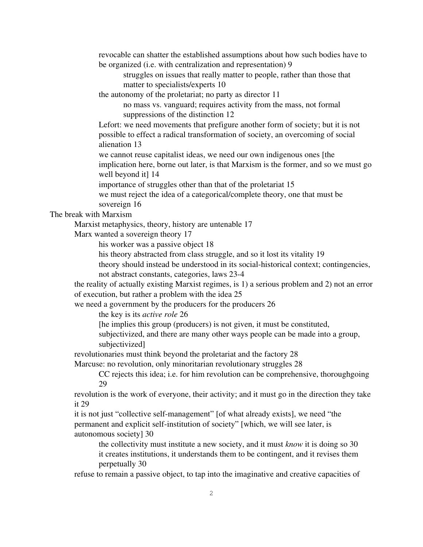revocable can shatter the established assumptions about how such bodies have to be organized (i.e. with centralization and representation) 9

struggles on issues that really matter to people, rather than those that matter to specialists/experts 10

the autonomy of the proletariat; no party as director 11

no mass vs. vanguard; requires activity from the mass, not formal suppressions of the distinction 12

Lefort: we need movements that prefigure another form of society; but it is not possible to effect a radical transformation of society, an overcoming of social alienation 13

we cannot reuse capitalist ideas, we need our own indigenous ones [the implication here, borne out later, is that Marxism is the former, and so we must go well beyond it] 14

importance of struggles other than that of the proletariat 15

we must reject the idea of a categorical/complete theory, one that must be sovereign 16

The break with Marxism

Marxist metaphysics, theory, history are untenable 17

Marx wanted a sovereign theory 17

his worker was a passive object 18

his theory abstracted from class struggle, and so it lost its vitality 19

theory should instead be understood in its social-historical context; contingencies,

not abstract constants, categories, laws 23-4

the reality of actually existing Marxist regimes, is 1) a serious problem and 2) not an error of execution, but rather a problem with the idea 25

we need a government by the producers for the producers 26

the key is its *active role* 26

[he implies this group (producers) is not given, it must be constituted,

subjectivized, and there are many other ways people can be made into a group, subjectivized]

revolutionaries must think beyond the proletariat and the factory 28

Marcuse: no revolution, only minoritarian revolutionary struggles 28

CC rejects this idea; i.e. for him revolution can be comprehensive, thoroughgoing 29

revolution is the work of everyone, their activity; and it must go in the direction they take it 29

it is not just "collective self-management" [of what already exists], we need "the permanent and explicit self-institution of society" [which, we will see later, is autonomous society] 30

the collectivity must institute a new society, and it must *know* it is doing so 30 it creates institutions, it understands them to be contingent, and it revises them perpetually 30

refuse to remain a passive object, to tap into the imaginative and creative capacities of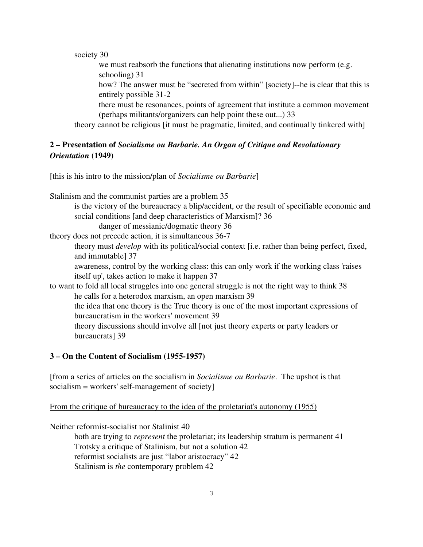society 30

we must reabsorb the functions that alienating institutions now perform (e.g. schooling) 31

how? The answer must be "secreted from within" [society]--he is clear that this is entirely possible 31-2

there must be resonances, points of agreement that institute a common movement (perhaps militants/organizers can help point these out...) 33

theory cannot be religious [it must be pragmatic, limited, and continually tinkered with]

# 2 – Presentation of *Socialisme ou Barbarie. An Organ of Critique and Revolutionary Orientation* (1949)

[this is his intro to the mission/plan of *Socialisme ou Barbarie*]

Stalinism and the communist parties are a problem 35

is the victory of the bureaucracy a blip/accident, or the result of specifiable economic and social conditions [and deep characteristics of Marxism]? 36

danger of messianic/dogmatic theory 36

theory does not precede action, it is simultaneous 36-7

theory must *develop* with its political/social context [i.e. rather than being perfect, fixed, and immutable] 37

awareness, control by the working class: this can only work if the working class 'raises itself up', takes action to make it happen 37

to want to fold all local struggles into one general struggle is not the right way to think 38 he calls for a heterodox marxism, an open marxism 39 the idea that one theory is the True theory is one of the most important expressions of bureaucratism in the workers' movement 39 theory discussions should involve all [not just theory experts or party leaders or bureaucrats] 39

### 3 – On the Content of Socialism (1955-1957)

[from a series of articles on the socialism in *Socialisme ou Barbarie*. The upshot is that  $socialism = workers' self-management of society]$ 

From the critique of bureaucracy to the idea of the proletariat's autonomy (1955)

Neither reformist-socialist nor Stalinist 40

both are trying to *represent* the proletariat; its leadership stratum is permanent 41 Trotsky a critique of Stalinism, but not a solution 42 reformist socialists are just "labor aristocracy" 42 Stalinism is *the* contemporary problem 42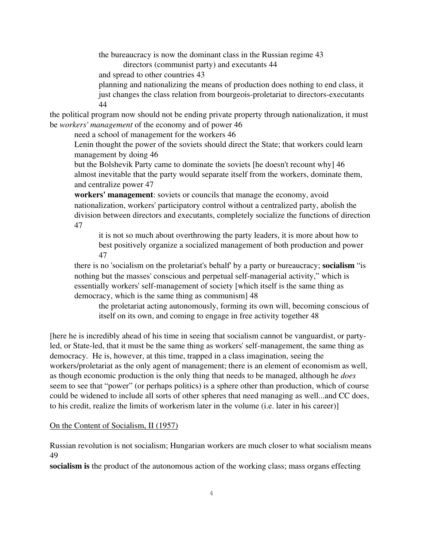the bureaucracy is now the dominant class in the Russian regime 43 directors (communist party) and executants 44

and spread to other countries 43

planning and nationalizing the means of production does nothing to end class, it just changes the class relation from bourgeois-proletariat to directors-executants 44

the political program now should not be ending private property through nationalization, it must be *workers' management* of the economy and of power 46

need a school of management for the workers 46

Lenin thought the power of the soviets should direct the State; that workers could learn management by doing 46

but the Bolshevik Party came to dominate the soviets [he doesn't recount why] 46 almost inevitable that the party would separate itself from the workers, dominate them, and centralize power 47

workers' management: soviets or councils that manage the economy, avoid nationalization, workers' participatory control without a centralized party, abolish the division between directors and executants, completely socialize the functions of direction 47

it is not so much about overthrowing the party leaders, it is more about how to best positively organize a socialized management of both production and power 47

there is no 'socialism on the proletariat's behalf' by a party or bureaucracy; socialism "is nothing but the masses' conscious and perpetual self-managerial activity," which is essentially workers' self-management of society [which itself is the same thing as democracy, which is the same thing as communism] 48

the proletariat acting autonomously, forming its own will, becoming conscious of itself on its own, and coming to engage in free activity together 48

[here he is incredibly ahead of his time in seeing that socialism cannot be vanguardist, or partyled, or State-led, that it must be the same thing as workers' self-management, the same thing as democracy. He is, however, at this time, trapped in a class imagination, seeing the workers/proletariat as the only agent of management; there is an element of economism as well, as though economic production is the only thing that needs to be managed, although he *does* seem to see that "power" (or perhaps politics) is a sphere other than production, which of course could be widened to include all sorts of other spheres that need managing as well...and CC does, to his credit, realize the limits of workerism later in the volume (i.e. later in his career)]

#### On the Content of Socialism, II (1957)

Russian revolution is not socialism; Hungarian workers are much closer to what socialism means 49

socialism is the product of the autonomous action of the working class; mass organs effecting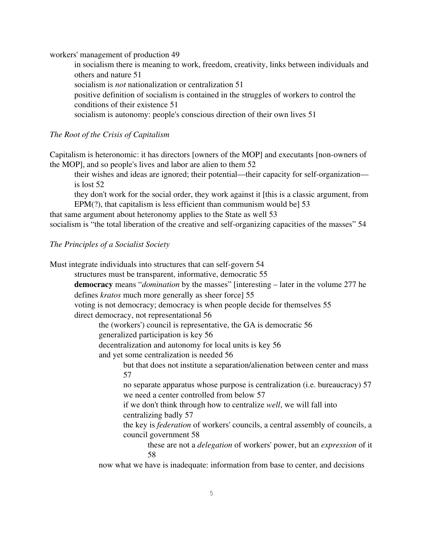workers' management of production 49

in socialism there is meaning to work, freedom, creativity, links between individuals and others and nature 51

socialism is *not* nationalization or centralization 51

positive definition of socialism is contained in the struggles of workers to control the conditions of their existence 51

socialism is autonomy: people's conscious direction of their own lives 51

*The Root of the Crisis of Capitalism*

Capitalism is heteronomic: it has directors [owners of the MOP] and executants [non-owners of the MOP], and so people's lives and labor are alien to them 52

their wishes and ideas are ignored; their potential—their capacity for self-organization is lost 52

they don't work for the social order, they work against it [this is a classic argument, from EPM(?), that capitalism is less efficient than communism would be] 53

that same argument about heteronomy applies to the State as well 53

socialism is "the total liberation of the creative and self-organizing capacities of the masses" 54

### *The Principles of a Socialist Society*

Must integrate individuals into structures that can self-govern 54

structures must be transparent, informative, democratic 55

democracy means "*domination* by the masses" [interesting – later in the volume 277 he defines *kratos* much more generally as sheer force] 55

voting is not democracy; democracy is when people decide for themselves 55 direct democracy, not representational 56

the (workers') council is representative, the GA is democratic 56

generalized participation is key 56

decentralization and autonomy for local units is key 56

and yet some centralization is needed 56

but that does not institute a separation/alienation between center and mass 57

no separate apparatus whose purpose is centralization (i.e. bureaucracy) 57 we need a center controlled from below 57

if we don't think through how to centralize *well*, we will fall into centralizing badly 57

the key is *federation* of workers' councils, a central assembly of councils, a council government 58

these are not a *delegation* of workers' power, but an *expression* of it 58

now what we have is inadequate: information from base to center, and decisions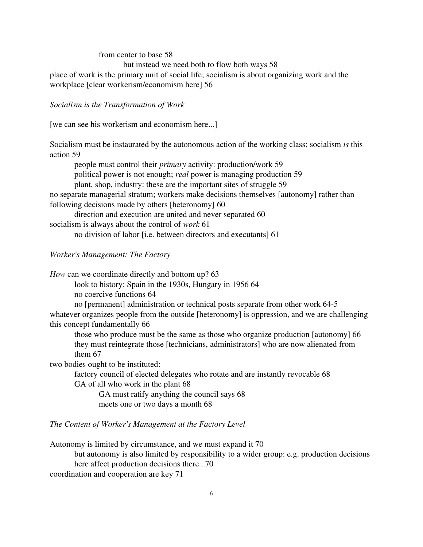#### from center to base 58

but instead we need both to flow both ways 58

place of work is the primary unit of social life; socialism is about organizing work and the workplace [clear workerism/economism here] 56

*Socialism is the Transformation of Work*

[we can see his workerism and economism here...]

Socialism must be instaurated by the autonomous action of the working class; socialism *is* this action 59

people must control their *primary* activity: production/work 59 political power is not enough; *real* power is managing production 59 plant, shop, industry: these are the important sites of struggle 59 no separate managerial stratum; workers make decisions themselves [autonomy] rather than following decisions made by others [heteronomy] 60 direction and execution are united and never separated 60 socialism is always about the control of *work* 61

no division of labor [i.e. between directors and executants] 61

## *Worker's Management: The Factory*

*How* can we coordinate directly and bottom up? 63

look to history: Spain in the 1930s, Hungary in 1956 64 no coercive functions 64

no [permanent] administration or technical posts separate from other work 645 whatever organizes people from the outside [heteronomy] is oppression, and we are challenging this concept fundamentally 66

those who produce must be the same as those who organize production [autonomy] 66 they must reintegrate those [technicians, administrators] who are now alienated from them 67

two bodies ought to be instituted:

factory council of elected delegates who rotate and are instantly revocable 68 GA of all who work in the plant 68

GA must ratify anything the council says 68 meets one or two days a month 68

#### *The Content of Worker's Management at the Factory Level*

Autonomy is limited by circumstance, and we must expand it 70

but autonomy is also limited by responsibility to a wider group: e.g. production decisions here affect production decisions there...70

coordination and cooperation are key 71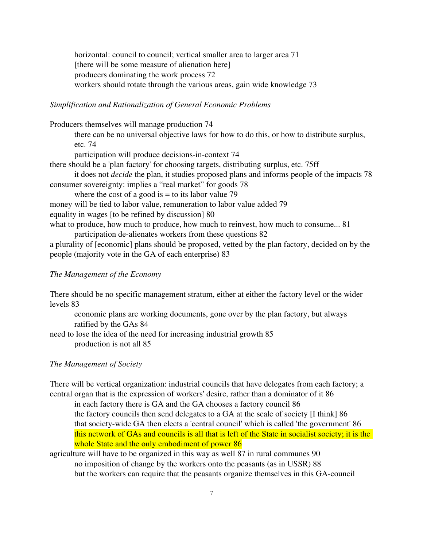horizontal: council to council; vertical smaller area to larger area 71 [there will be some measure of alienation here] producers dominating the work process 72 workers should rotate through the various areas, gain wide knowledge 73

#### *Simplification and Rationalization of General Economic Problems*

Producers themselves will manage production 74

there can be no universal objective laws for how to do this, or how to distribute surplus, etc. 74

participation will produce decisions-in-context 74

there should be a 'plan factory' for choosing targets, distributing surplus, etc. 75ff

it does not *decide* the plan, it studies proposed plans and informs people of the impacts 78 consumer sovereignty: implies a "real market" for goods 78

where the cost of a good is  $=$  to its labor value 79

money will be tied to labor value, remuneration to labor value added 79 equality in wages [to be refined by discussion] 80

what to produce, how much to produce, how much to reinvest, how much to consume... 81

participation de-alienates workers from these questions 82

a plurality of [economic] plans should be proposed, vetted by the plan factory, decided on by the people (majority vote in the GA of each enterprise) 83

### *The Management of the Economy*

There should be no specific management stratum, either at either the factory level or the wider levels 83

economic plans are working documents, gone over by the plan factory, but always ratified by the GAs 84

need to lose the idea of the need for increasing industrial growth 85 production is not all 85

### *The Management of Society*

There will be vertical organization: industrial councils that have delegates from each factory; a central organ that is the expression of workers' desire, rather than a dominator of it 86

- in each factory there is GA and the GA chooses a factory council 86 the factory councils then send delegates to a GA at the scale of society [I think] 86 that society-wide GA then elects a 'central council' which is called 'the government' 86 this network of GAs and councils is all that is left of the State in socialist society; it is the whole State and the only embodiment of power 86
- agriculture will have to be organized in this way as well 87 in rural communes 90 no imposition of change by the workers onto the peasants (as in USSR) 88 but the workers can require that the peasants organize themselves in this GA-council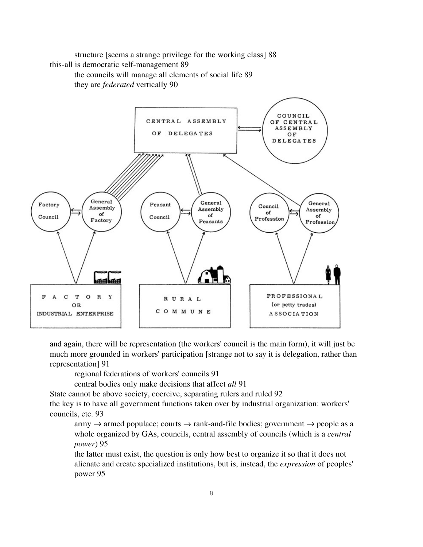structure [seems a strange privilege for the working class] 88 this-all is democratic self-management 89

the councils will manage all elements of social life 89 they are *federated* vertically 90



and again, there will be representation (the workers' council is the main form), it will just be much more grounded in workers' participation [strange not to say it is delegation, rather than representation] 91

regional federations of workers' councils 91

central bodies only make decisions that affect *all* 91

State cannot be above society, coercive, separating rulers and ruled 92

the key is to have all government functions taken over by industrial organization: workers' councils, etc. 93

army  $\rightarrow$  armed populace; courts  $\rightarrow$  rank-and-file bodies; government  $\rightarrow$  people as a whole organized by GAs, councils, central assembly of councils (which is a *central power*) 95

the latter must exist, the question is only how best to organize it so that it does not alienate and create specialized institutions, but is, instead, the *expression* of peoples' power 95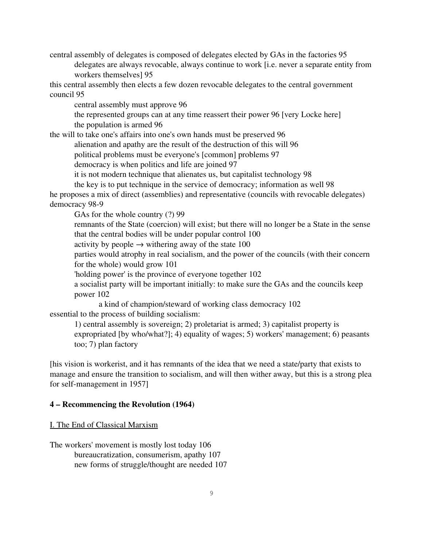central assembly of delegates is composed of delegates elected by GAs in the factories 95 delegates are always revocable, always continue to work [i.e. never a separate entity from workers themselves] 95

this central assembly then elects a few dozen revocable delegates to the central government council 95

central assembly must approve 96

the represented groups can at any time reassert their power 96 [very Locke here] the population is armed 96

the will to take one's affairs into one's own hands must be preserved 96

alienation and apathy are the result of the destruction of this will 96

political problems must be everyone's [common] problems 97

democracy is when politics and life are joined 97

it is not modern technique that alienates us, but capitalist technology 98

the key is to put technique in the service of democracy; information as well 98

he proposes a mix of direct (assemblies) and representative (councils with revocable delegates) democracy 98-9

GAs for the whole country (?) 99

remnants of the State (coercion) will exist; but there will no longer be a State in the sense that the central bodies will be under popular control 100

activity by people  $\rightarrow$  withering away of the state 100

parties would atrophy in real socialism, and the power of the councils (with their concern for the whole) would grow 101

'holding power' is the province of everyone together 102

a socialist party will be important initially: to make sure the GAs and the councils keep power 102

a kind of champion/steward of working class democracy 102 essential to the process of building socialism:

1) central assembly is sovereign; 2) proletariat is armed; 3) capitalist property is expropriated [by who/what?]; 4) equality of wages; 5) workers' management; 6) peasants too; 7) plan factory

[his vision is workerist, and it has remnants of the idea that we need a state/party that exists to manage and ensure the transition to socialism, and will then wither away, but this is a strong plea for self-management in 1957]

### 4 – Recommencing the Revolution (1964)

#### I. The End of Classical Marxism

The workers' movement is mostly lost today 106 bureaucratization, consumerism, apathy 107 new forms of struggle/thought are needed 107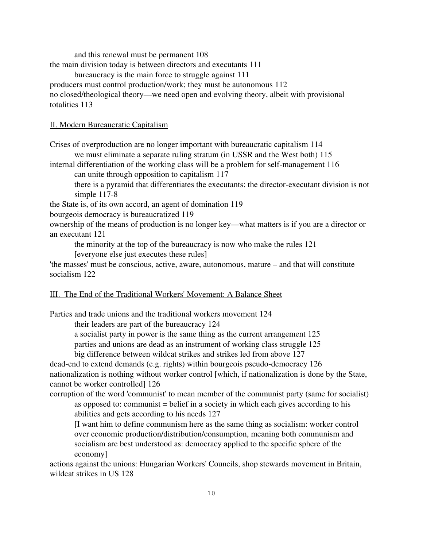and this renewal must be permanent 108

the main division today is between directors and executants 111

bureaucracy is the main force to struggle against 111

producers must control production/work; they must be autonomous 112

no closed/theological theory—we need open and evolving theory, albeit with provisional totalities 113

### II. Modern Bureaucratic Capitalism

Crises of overproduction are no longer important with bureaucratic capitalism 114 we must eliminate a separate ruling stratum (in USSR and the West both) 115

internal differentiation of the working class will be a problem for self-management 116

can unite through opposition to capitalism 117

there is a pyramid that differentiates the executants: the director-executant division is not simple  $117-8$ 

the State is, of its own accord, an agent of domination 119

bourgeois democracy is bureaucratized 119

ownership of the means of production is no longer key—what matters is if you are a director or an executant 121

the minority at the top of the bureaucracy is now who make the rules 121

[everyone else just executes these rules]

'the masses' must be conscious, active, aware, autonomous, mature – and that will constitute socialism 122

## III. The End of the Traditional Workers' Movement: A Balance Sheet

Parties and trade unions and the traditional workers movement 124

their leaders are part of the bureaucracy 124

a socialist party in power is the same thing as the current arrangement 125

parties and unions are dead as an instrument of working class struggle 125

big difference between wildcat strikes and strikes led from above 127

dead-end to extend demands (e.g. rights) within bourgeois pseudo-democracy  $126$ nationalization is nothing without worker control [which, if nationalization is done by the State, cannot be worker controlled] 126

corruption of the word 'communist' to mean member of the communist party (same for socialist) as opposed to: communist = belief in a society in which each gives according to his abilities and gets according to his needs 127

[I want him to define communism here as the same thing as socialism: worker control over economic production/distribution/consumption, meaning both communism and socialism are best understood as: democracy applied to the specific sphere of the economy]

actions against the unions: Hungarian Workers' Councils, shop stewards movement in Britain, wildcat strikes in US 128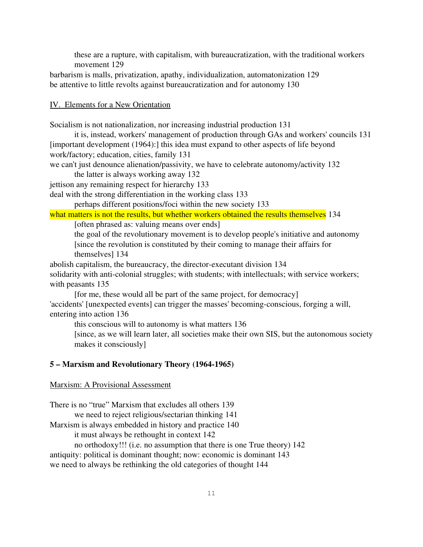these are a rupture, with capitalism, with bureaucratization, with the traditional workers movement 129

barbarism is malls, privatization, apathy, individualization, automatonization 129 be attentive to little revolts against bureaucratization and for autonomy 130

### IV. Elements for a New Orientation

Socialism is not nationalization, nor increasing industrial production 131

it is, instead, workers' management of production through GAs and workers' councils 131 [important development (1964):] this idea must expand to other aspects of life beyond work/factory; education, cities, family 131

we can't just denounce alienation/passivity, we have to celebrate autonomy/activity 132

the latter is always working away 132

jettison any remaining respect for hierarchy 133

deal with the strong differentiation in the working class 133

perhaps different positions/foci within the new society 133

what matters is not the results, but whether workers obtained the results themselves 134 [often phrased as: valuing means over ends]

the goal of the revolutionary movement is to develop people's initiative and autonomy [since the revolution is constituted by their coming to manage their affairs for themselves] 134

abolish capitalism, the bureaucracy, the director-executant division 134

solidarity with anti-colonial struggles; with students; with intellectuals; with service workers; with peasants 135

[for me, these would all be part of the same project, for democracy] 'accidents' [unexpected events] can trigger the masses' becoming-conscious, forging a will, entering into action 136

this conscious will to autonomy is what matters 136

[since, as we will learn later, all societies make their own SIS, but the autonomous society makes it consciously]

## 5 – Marxism and Revolutionary Theory (19641965)

#### Marxism: A Provisional Assessment

There is no "true" Marxism that excludes all others 139

we need to reject religious/sectarian thinking 141

Marxism is always embedded in history and practice 140

it must always be rethought in context 142

no orthodoxy!!! (i.e. no assumption that there is one True theory) 142 antiquity: political is dominant thought; now: economic is dominant 143 we need to always be rethinking the old categories of thought 144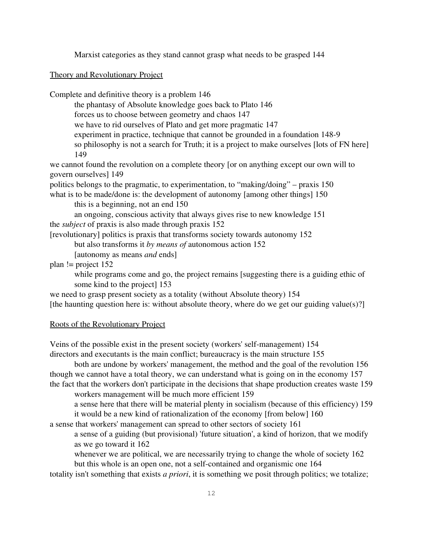Marxist categories as they stand cannot grasp what needs to be grasped 144

Theory and Revolutionary Project

Complete and definitive theory is a problem 146

the phantasy of Absolute knowledge goes back to Plato 146

forces us to choose between geometry and chaos 147

we have to rid ourselves of Plato and get more pragmatic 147

experiment in practice, technique that cannot be grounded in a foundation 148-9

so philosophy is not a search for Truth; it is a project to make ourselves [lots of FN here] 149

we cannot found the revolution on a complete theory [or on anything except our own will to govern ourselves] 149

politics belongs to the pragmatic, to experimentation, to "making/doing" – praxis 150

what is to be made/done is: the development of autonomy [among other things] 150 this is a beginning, not an end 150

an ongoing, conscious activity that always gives rise to new knowledge 151 the *subject* of praxis is also made through praxis 152

[revolutionary] politics is praxis that transforms society towards autonomy 152

but also transforms it *by means of* autonomous action 152

[autonomy as means *and* ends]

plan != project 152

while programs come and go, the project remains [suggesting there is a guiding ethic of some kind to the project] 153

we need to grasp present society as a totality (without Absolute theory) 154

[the haunting question here is: without absolute theory, where do we get our guiding value(s)?]

#### Roots of the Revolutionary Project

Veins of the possible exist in the present society (workers' self-management) 154 directors and executants is the main conflict; bureaucracy is the main structure 155

both are undone by workers' management, the method and the goal of the revolution 156 though we cannot have a total theory, we can understand what is going on in the economy 157 the fact that the workers don't participate in the decisions that shape production creates waste 159

workers management will be much more efficient 159

a sense here that there will be material plenty in socialism (because of this efficiency) 159 it would be a new kind of rationalization of the economy [from below] 160

a sense that workers' management can spread to other sectors of society 161

a sense of a guiding (but provisional) 'future situation', a kind of horizon, that we modify as we go toward it 162

whenever we are political, we are necessarily trying to change the whole of society 162 but this whole is an open one, not a self-contained and organismic one 164

totality isn't something that exists *a priori*, it is something we posit through politics; we totalize;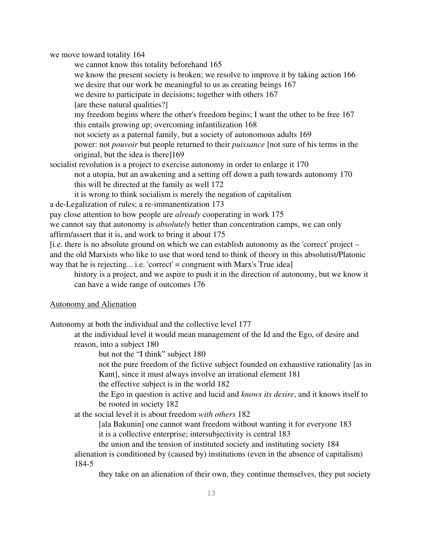we move toward totality 164

we cannot know this totality beforehand 165 we know the present society is broken; we resolve to improve it by taking action 166 we desire that our work be meaningful to us as creating beings 167 we desire to participate in decisions; together with others 167 [are these natural qualities?] my freedom begins where the other's freedom begins; I want the other to be free 167 this entails growing up; overcoming infantilization 168 not society as a paternal family, but a society of autonomous adults 169 power: not *pouvoir* but people returned to their *puissance* [not sure of his terms in the original, but the idea is there]169 socialist revolution is a project to exercise autonomy in order to enlarge it 170 not a utopia, but an awakening and a setting off down a path towards autonomy 170 this will be directed at the family as well 172 it is wrong to think socialism is merely the negation of capitalism a de-Legalization of rules; a re-immanentization 173 pay close attention to how people are *already* cooperating in work 175

we cannot say that autonomy is *absolutely* better than concentration camps, we can only

affirm/assert that it is, and work to bring it about 175

[i.e. there is no absolute ground on which we can establish autonomy as the 'correct' project – and the old Marxists who like to use that word tend to think of theory in this absolutist/Platonic way that he is rejecting... i.e. 'correct' = congruent with Marx's True idea]

history is a project, and we aspire to push it in the direction of autonomy, but we know it can have a wide range of outcomes 176

### Autonomy and Alienation

Autonomy at both the individual and the collective level 177

at the individual level it would mean management of the Id and the Ego, of desire and reason, into a subject 180

but not the "I think" subject 180

not the pure freedom of the fictive subject founded on exhaustive rationality [as in Kant], since it must always involve an irrational element 181

the effective subject is in the world 182

the Ego in question is active and lucid and *knows its desire*, and it knows itself to be rooted in society 182

at the social level it is about freedom *with others* 182

[ala Bakunin] one cannot want freedom without wanting it for everyone 183 it is a collective enterprise; intersubjectivity is central 183

the union and the tension of instituted society and instituting society 184 alienation is conditioned by (caused by) institutions (even in the absence of capitalism) 184-5

they take on an alienation of their own, they continue themselves, they put society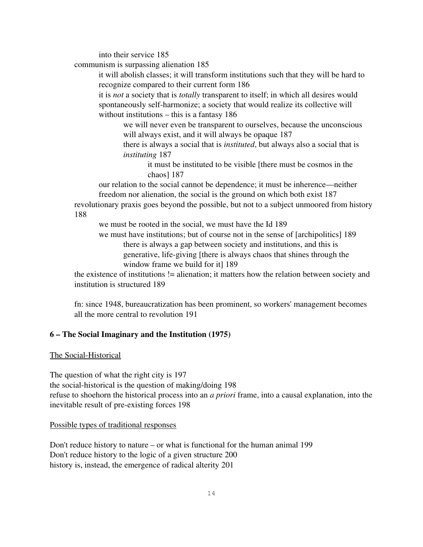into their service 185

communism is surpassing alienation 185

it will abolish classes; it will transform institutions such that they will be hard to recognize compared to their current form 186

it is *not* a society that is *totally* transparent to itself; in which all desires would spontaneously self-harmonize; a society that would realize its collective will without institutions – this is a fantasy 186

we will never even be transparent to ourselves, because the unconscious will always exist, and it will always be opaque 187

there is always a social that is *instituted*, but always also a social that is *instituting* 187

it must be instituted to be visible [there must be cosmos in the chaos] 187

our relation to the social cannot be dependence; it must be inherence—neither freedom nor alienation, the social is the ground on which both exist 187

revolutionary praxis goes beyond the possible, but not to a subject unmoored from history 188

we must be rooted in the social, we must have the Id 189

we must have institutions; but of course not in the sense of [archipolitics] 189 there is always a gap between society and institutions, and this is generative, life-giving [there is always chaos that shines through the window frame we build for it] 189

the existence of institutions != alienation; it matters how the relation between society and institution is structured 189

fn: since 1948, bureaucratization has been prominent, so workers' management becomes all the more central to revolution 191

## 6 – The Social Imaginary and the Institution (1975)

The Social-Historical

The question of what the right city is 197 the social-historical is the question of making/doing 198 refuse to shoehorn the historical process into an *a priori* frame, into a causal explanation, into the inevitable result of pre-existing forces 198

### Possible types of traditional responses

Don't reduce history to nature – or what is functional for the human animal 199 Don't reduce history to the logic of a given structure 200 history is, instead, the emergence of radical alterity 201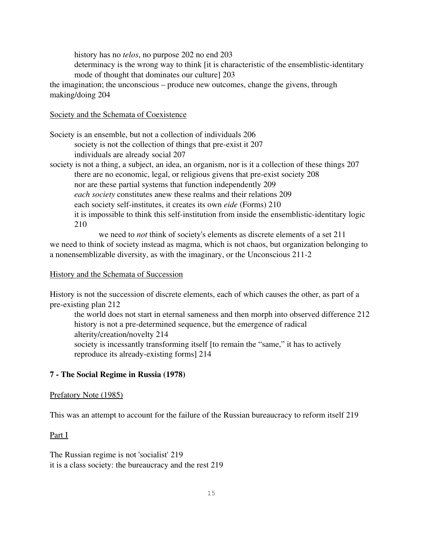history has no *telos*, no purpose 202 no end 203

determinacy is the wrong way to think [it is characteristic of the ensemblistic-identitary mode of thought that dominates our culture] 203

the imagination; the unconscious – produce new outcomes, change the givens, through making/doing 204

### Society and the Schemata of Coexistence

Society is an ensemble, but not a collection of individuals 206 society is not the collection of things that pre-exist it 207 individuals are already social 207

society is not a thing, a subject, an idea, an organism, nor is it a collection of these things 207 there are no economic, legal, or religious givens that pre-exist society 208 nor are these partial systems that function independently 209 *each society* constitutes anew these realms and their relations 209 each society self-institutes, it creates its own *eide* (Forms) 210 it is impossible to think this self-institution from inside the ensemblistic-identitary logic 210

we need to *not* think of society's elements as discrete elements of a set 211 we need to think of society instead as magma, which is not chaos, but organization belonging to a nonensemblizable diversity, as with the imaginary, or the Unconscious 2112

#### History and the Schemata of Succession

History is not the succession of discrete elements, each of which causes the other, as part of a pre-existing plan 212

the world does not start in eternal sameness and then morph into observed difference 212 history is not a pre-determined sequence, but the emergence of radical alterity/creation/novelty 214 society is incessantly transforming itself [to remain the "same," it has to actively reproduce its already-existing forms] 214

### 7 - The Social Regime in Russia (1978)

#### Prefatory Note (1985)

This was an attempt to account for the failure of the Russian bureaucracy to reform itself 219

#### Part I

The Russian regime is not 'socialist' 219 it is a class society: the bureaucracy and the rest 219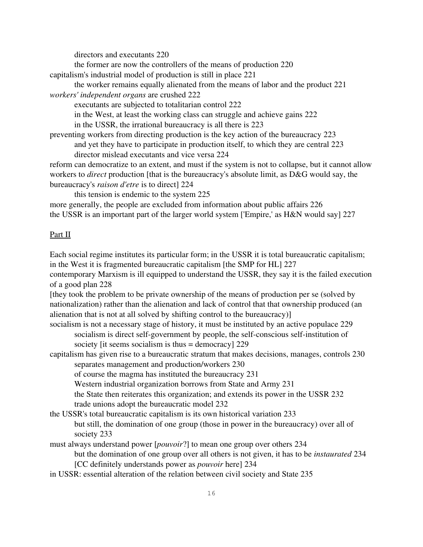directors and executants 220

the former are now the controllers of the means of production 220

capitalism's industrial model of production is still in place 221

the worker remains equally alienated from the means of labor and the product 221 *workers' independent organs* are crushed 222

executants are subjected to totalitarian control 222

in the West, at least the working class can struggle and achieve gains 222

in the USSR, the irrational bureaucracy is all there is 223

preventing workers from directing production is the key action of the bureaucracy 223 and yet they have to participate in production itself, to which they are central 223

director mislead executants and vice versa 224

reform can democratize to an extent, and must if the system is not to collapse, but it cannot allow workers to *direct* production [that is the bureaucracy's absolute limit, as D&G would say, the bureaucracy's *raison d'etre* is to direct] 224

this tension is endemic to the system 225

more generally, the people are excluded from information about public affairs 226 the USSR is an important part of the larger world system ['Empire,' as H&N would say] 227

## Part II

Each social regime institutes its particular form; in the USSR it is total bureaucratic capitalism; in the West it is fragmented bureaucratic capitalism [the SMP for HL] 227

contemporary Marxism is ill equipped to understand the USSR, they say it is the failed execution of a good plan 228

[they took the problem to be private ownership of the means of production per se (solved by nationalization) rather than the alienation and lack of control that that ownership produced (an alienation that is not at all solved by shifting control to the bureaucracy)]

socialism is not a necessary stage of history, it must be instituted by an active populace 229 socialism is direct self-government by people, the self-conscious self-institution of society [it seems socialism is thus = democracy] 229

capitalism has given rise to a bureaucratic stratum that makes decisions, manages, controls 230 separates management and production/workers 230

of course the magma has instituted the bureaucracy 231

Western industrial organization borrows from State and Army 231

the State then reiterates this organization; and extends its power in the USSR 232

trade unions adopt the bureaucratic model 232

the USSR's total bureaucratic capitalism is its own historical variation 233

but still, the domination of one group (those in power in the bureaucracy) over all of society 233

must always understand power [*pouvoir*?] to mean one group over others 234

but the domination of one group over all others is not given, it has to be *instaurated* 234 [CC definitely understands power as *pouvoir* here] 234

in USSR: essential alteration of the relation between civil society and State 235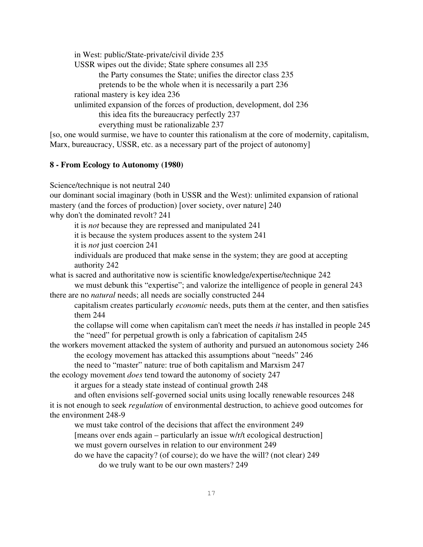in West: public/State-private/civil divide 235 USSR wipes out the divide; State sphere consumes all 235 the Party consumes the State; unifies the director class 235 pretends to be the whole when it is necessarily a part 236 rational mastery is key idea 236 unlimited expansion of the forces of production, development, dol 236 this idea fits the bureaucracy perfectly 237 everything must be rationalizable 237 [so, one would surmise, we have to counter this rationalism at the core of modernity, capitalism,

#### 8 From Ecology to Autonomy (1980)

Science/technique is not neutral 240

our dominant social imaginary (both in USSR and the West): unlimited expansion of rational mastery (and the forces of production) [over society, over nature] 240 why don't the dominated revolt? 241

it is *not* because they are repressed and manipulated 241

it is because the system produces assent to the system 241

Marx, bureaucracy, USSR, etc. as a necessary part of the project of autonomy

it is *not* just coercion 241

individuals are produced that make sense in the system; they are good at accepting authority 242

what is sacred and authoritative now is scientific knowledge/expertise/technique 242

we must debunk this "expertise"; and valorize the intelligence of people in general 243 there are no *natural* needs; all needs are socially constructed 244

capitalism creates particularly *economic* needs, puts them at the center, and then satisfies them 244

the collapse will come when capitalism can't meet the needs *it* has installed in people 245 the "need" for perpetual growth is only a fabrication of capitalism 245

the workers movement attacked the system of authority and pursued an autonomous society 246 the ecology movement has attacked this assumptions about "needs" 246

the need to "master" nature: true of both capitalism and Marxism 247

the ecology movement *does* tend toward the autonomy of society 247

it argues for a steady state instead of continual growth 248

and often envisions self-governed social units using locally renewable resources 248

it is not enough to seek *regulation* of environmental destruction, to achieve good outcomes for the environment 248-9

we must take control of the decisions that affect the environment 249

[means over ends again – particularly an issue w/r/t ecological destruction]

we must govern ourselves in relation to our environment 249

do we have the capacity? (of course); do we have the will? (not clear) 249 do we truly want to be our own masters? 249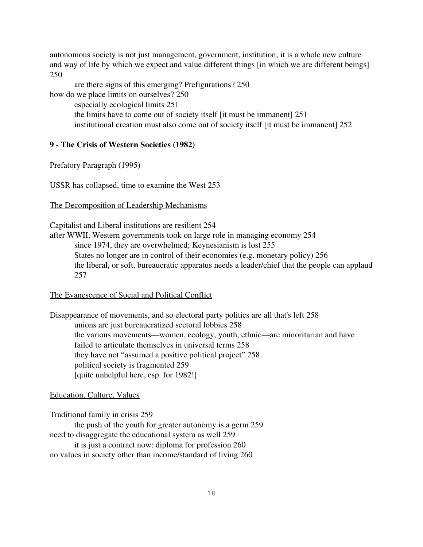autonomous society is not just management, government, institution; it is a whole new culture and way of life by which we expect and value different things [in which we are different beings] 250

are there signs of this emerging? Prefigurations? 250 how do we place limits on ourselves? 250 especially ecological limits 251 the limits have to come out of society itself [it must be immanent] 251 institutional creation must also come out of society itself [it must be immanent] 252

## 9 The Crisis of Western Societies (1982)

#### Prefatory Paragraph (1995)

USSR has collapsed, time to examine the West 253

#### The Decomposition of Leadership Mechanisms

Capitalist and Liberal institutions are resilient 254

after WWII, Western governments took on large role in managing economy 254 since 1974, they are overwhelmed; Keynesianism is lost 255 States no longer are in control of their economies (e.g. monetary policy) 256 the liberal, or soft, bureaucratic apparatus needs a leader/chief that the people can applaud 257

#### The Evanescence of Social and Political Conflict

Disappearance of movements, and so electoral party politics are all that's left 258 unions are just bureaucratized sectoral lobbies 258 the various movements—women, ecology, youth, ethnic—are minoritarian and have failed to articulate themselves in universal terms 258 they have not "assumed a positive political project" 258 political society is fragmented 259 [quite unhelpful here, esp. for 1982!]

#### Education, Culture, Values

Traditional family in crisis 259

the push of the youth for greater autonomy is a germ 259 need to disaggregate the educational system as well 259

it is just a contract now: diploma for profession 260 no values in society other than income/standard of living 260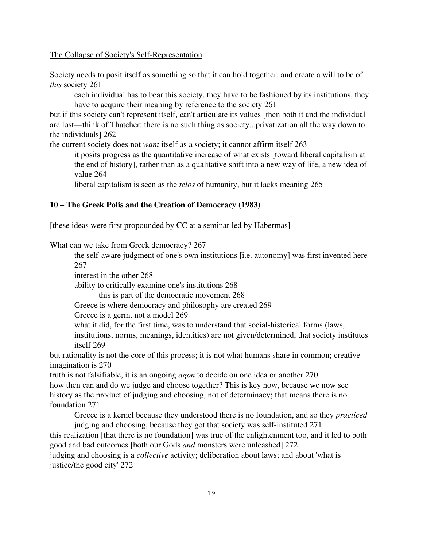#### The Collapse of Society's Self-Representation

Society needs to posit itself as something so that it can hold together, and create a will to be of *this* society 261

each individual has to bear this society, they have to be fashioned by its institutions, they have to acquire their meaning by reference to the society 261

but if this society can't represent itself, can't articulate its values [then both it and the individual are lost—think of Thatcher: there is no such thing as society...privatization all the way down to the individuals] 262

the current society does not *want* itself as a society; it cannot affirm itself 263

it posits progress as the quantitative increase of what exists [toward liberal capitalism at the end of history], rather than as a qualitative shift into a new way of life, a new idea of value 264

liberal capitalism is seen as the *telos* of humanity, but it lacks meaning 265

### 10 – The Greek Polis and the Creation of Democracy (1983)

[these ideas were first propounded by CC at a seminar led by Habermas]

What can we take from Greek democracy? 267

the self-aware judgment of one's own institutions [i.e. autonomy] was first invented here 267

interest in the other 268

ability to critically examine one's institutions 268

this is part of the democratic movement 268

Greece is where democracy and philosophy are created 269

Greece is a germ, not a model 269

what it did, for the first time, was to understand that social-historical forms (laws, institutions, norms, meanings, identities) are not given/determined, that society institutes itself 269

but rationality is not the core of this process; it is not what humans share in common; creative imagination is 270

truth is not falsifiable, it is an ongoing *agon* to decide on one idea or another 270 how then can and do we judge and choose together? This is key now, because we now see history as the product of judging and choosing, not of determinacy; that means there is no foundation 271

Greece is a kernel because they understood there is no foundation, and so they *practiced* 

judging and choosing, because they got that society was self-instituted 271 this realization [that there is no foundation] was true of the enlightenment too, and it led to both good and bad outcomes [both our Gods *and* monsters were unleashed] 272 judging and choosing is a *collective* activity; deliberation about laws; and about 'what is

justice/the good city' 272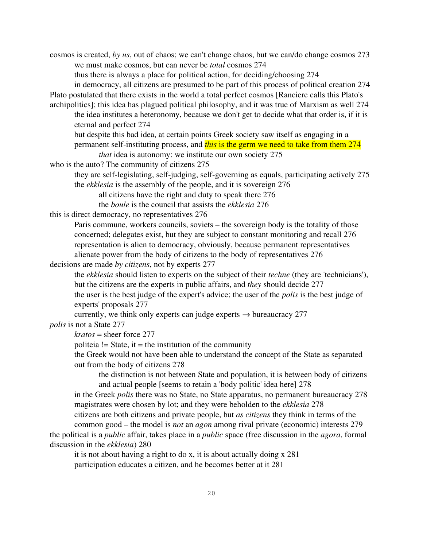cosmos is created, *by us*, out of chaos; we can't change chaos, but we can/do change cosmos 273 we must make cosmos, but can never be *total* cosmos 274

thus there is always a place for political action, for deciding/choosing 274

in democracy, all citizens are presumed to be part of this process of political creation 274 Plato postulated that there exists in the world a total perfect cosmos [Ranciere calls this Plato's

archipolitics]; this idea has plagued political philosophy, and it was true of Marxism as well 274 the idea institutes a heteronomy, because we don't get to decide what that order is, if it is eternal and perfect 274

but despite this bad idea, at certain points Greek society saw itself as engaging in a permanent self-instituting process, and *this* is the germ we need to take from them 274

*that* idea is autonomy: we institute our own society 275

who is the auto? The community of citizens 275

they are self-legislating, self-judging, self-governing as equals, participating actively 275 the *ekklesia* is the assembly of the people, and it is sovereign 276

all citizens have the right and duty to speak there 276

the *boule* is the council that assists the *ekklesia* 276

this is direct democracy, no representatives 276

Paris commune, workers councils, soviets – the sovereign body is the totality of those concerned; delegates exist, but they are subject to constant monitoring and recall 276 representation is alien to democracy, obviously, because permanent representatives alienate power from the body of citizens to the body of representatives 276

decisions are made *by citizens*, not by experts 277

the *ekklesia* should listen to experts on the subject of their *techne* (they are 'technicians'), but the citizens are the experts in public affairs, and *they* should decide 277

the user is the best judge of the expert's advice; the user of the *polis* is the best judge of experts' proposals 277

currently, we think only experts can judge experts  $\rightarrow$  bureaucracy 277

*polis* is not a State 277

*kratos* = sheer force 277

politeia  $!=$  State, it  $=$  the institution of the community

the Greek would not have been able to understand the concept of the State as separated out from the body of citizens 278

the distinction is not between State and population, it is between body of citizens and actual people [seems to retain a 'body politic' idea here] 278

in the Greek *polis* there was no State, no State apparatus, no permanent bureaucracy 278 magistrates were chosen by lot; and they were beholden to the *ekklesia* 278

citizens are both citizens and private people, but *as citizens* they think in terms of the

common good – the model is *not* an *agon* among rival private (economic) interests 279 the political is a *public* affair, takes place in a *public* space (free discussion in the *agora*, formal discussion in the *ekklesia*) 280

it is not about having a right to do x, it is about actually doing x 281 participation educates a citizen, and he becomes better at it 281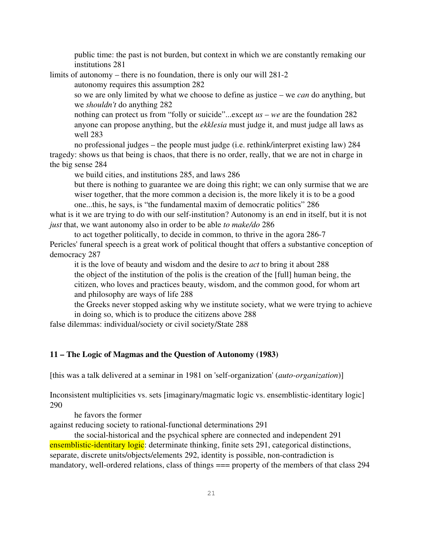public time: the past is not burden, but context in which we are constantly remaking our institutions 281

limits of autonomy – there is no foundation, there is only our will 281-2

autonomy requires this assumption 282

so we are only limited by what we choose to define as justice – we *can* do anything, but we *shouldn't* do anything 282

nothing can protect us from "folly or suicide"...except *us* – *we* are the foundation 282 anyone can propose anything, but the *ekklesia* must judge it, and must judge all laws as well 283

no professional judges – the people must judge (i.e. rethink/interpret existing law) 284 tragedy: shows us that being is chaos, that there is no order, really, that we are not in charge in the big sense 284

we build cities, and institutions 285, and laws 286

but there is nothing to guarantee we are doing this right; we can only surmise that we are wiser together, that the more common a decision is, the more likely it is to be a good one...this, he says, is "the fundamental maxim of democratic politics" 286

what is it we are trying to do with our self-institution? Autonomy is an end in itself, but it is not *just* that, we want autonomy also in order to be able *to make/do* 286

to act together politically, to decide in common, to thrive in the agora 286-7 Pericles' funeral speech is a great work of political thought that offers a substantive conception of democracy 287

it is the love of beauty and wisdom and the desire to *act* to bring it about 288 the object of the institution of the polis is the creation of the [full] human being, the citizen, who loves and practices beauty, wisdom, and the common good, for whom art and philosophy are ways of life 288

the Greeks never stopped asking why we institute society, what we were trying to achieve in doing so, which is to produce the citizens above 288

false dilemmas: individual/society or civil society/State 288

## 11 – The Logic of Magmas and the Question of Autonomy (1983)

[this was a talk delivered at a seminar in 1981 on 'self-organization' (*auto-organization*)]

Inconsistent multiplicities vs. sets [imaginary/magmatic logic vs. ensemblistic-identitary logic] 290

he favors the former

against reducing society to rational-functional determinations 291

the social-historical and the psychical sphere are connected and independent 291 ensemblistic-identitary logic: determinate thinking, finite sets 291, categorical distinctions, separate, discrete units/objects/elements 292, identity is possible, non-contradiction is mandatory, well-ordered relations, class of things  $==$  property of the members of that class 294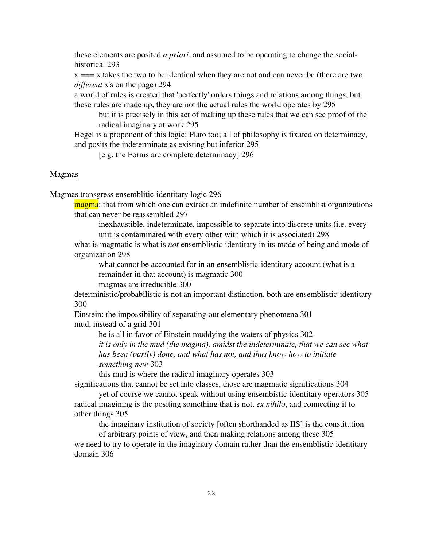these elements are posited *a priori*, and assumed to be operating to change the socialhistorical 293

 $x == x$  takes the two to be identical when they are not and can never be (there are two *different* x's on the page) 294

a world of rules is created that 'perfectly' orders things and relations among things, but these rules are made up, they are not the actual rules the world operates by 295

but it is precisely in this act of making up these rules that we can see proof of the radical imaginary at work 295

Hegel is a proponent of this logic; Plato too; all of philosophy is fixated on determinacy, and posits the indeterminate as existing but inferior 295

[e.g. the Forms are complete determinacy] 296

#### **Magmas**

Magmas transgress ensemblitic-identitary logic 296

magma: that from which one can extract an indefinite number of ensemblist organizations that can never be reassembled 297

inexhaustible, indeterminate, impossible to separate into discrete units (i.e. every unit is contaminated with every other with which it is associated) 298

what is magmatic is what is *not* ensemblistic-identitary in its mode of being and mode of organization 298

what cannot be accounted for in an ensemblistic-identitary account (what is a remainder in that account) is magmatic 300

magmas are irreducible 300

deterministic/probabilistic is not an important distinction, both are ensemblistic-identitary 300

Einstein: the impossibility of separating out elementary phenomena 301 mud, instead of a grid 301

he is all in favor of Einstein muddying the waters of physics 302

*it is only in the mud (the magma), amidst the indeterminate, that we can see what has been (partly) done, and what has not, and thus know how to initiate something new* 303

this mud is where the radical imaginary operates 303

significations that cannot be set into classes, those are magmatic significations 304 yet of course we cannot speak without using ensembistic-identitary operators 305 radical imagining is the positing something that is not, *ex nihilo*, and connecting it to

other things 305

the imaginary institution of society [often shorthanded as IIS] is the constitution

of arbitrary points of view, and then making relations among these 305 we need to try to operate in the imaginary domain rather than the ensemblistic-identitary domain 306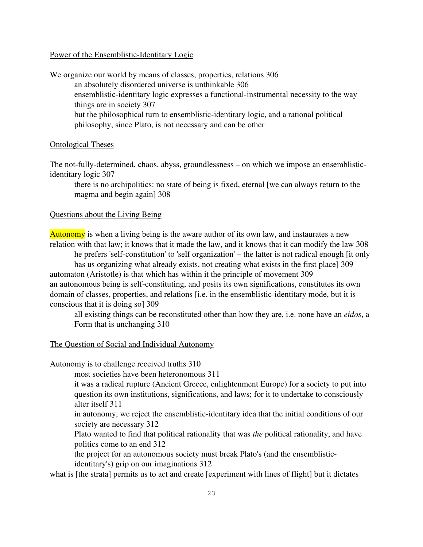### Power of the Ensemblistic-Identitary Logic

We organize our world by means of classes, properties, relations 306 an absolutely disordered universe is unthinkable 306 ensemblistic-identitary logic expresses a functional-instrumental necessity to the way things are in society 307 but the philosophical turn to ensemblistic-identitary logic, and a rational political philosophy, since Plato, is not necessary and can be other

### Ontological Theses

The not-fully-determined, chaos, abyss, groundlessness – on which we impose an ensemblisticidentitary logic 307

there is no archipolitics: no state of being is fixed, eternal [we can always return to the magma and begin again] 308

#### Questions about the Living Being

Autonomy is when a living being is the aware author of its own law, and instaurates a new relation with that law; it knows that it made the law, and it knows that it can modify the law 308

he prefers 'self-constitution' to 'self organization' – the latter is not radical enough [it only has us organizing what already exists, not creating what exists in the first place] 309 automaton (Aristotle) is that which has within it the principle of movement 309 an autonomous being is self-constituting, and posits its own significations, constitutes its own domain of classes, properties, and relations [i.e. in the ensemblistic-identitary mode, but it is conscious that it is doing so] 309

all existing things can be reconstituted other than how they are, i.e. none have an *eidos*, a Form that is unchanging 310

#### The Question of Social and Individual Autonomy

Autonomy is to challenge received truths 310

most societies have been heteronomous 311

it was a radical rupture (Ancient Greece, enlightenment Europe) for a society to put into question its own institutions, significations, and laws; for it to undertake to consciously alter itself 311

in autonomy, we reject the ensemblistic-identitary idea that the initial conditions of our society are necessary 312

Plato wanted to find that political rationality that was *the* political rationality, and have politics come to an end 312

the project for an autonomous society must break Plato's (and the ensemblisticidentitary's) grip on our imaginations 312

what is [the strata] permits us to act and create [experiment with lines of flight] but it dictates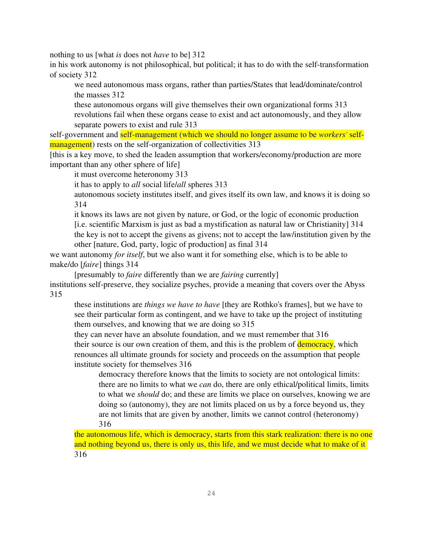nothing to us [what *is* does not *have* to be] 312

in his work autonomy is not philosophical, but political; it has to do with the self-transformation of society 312

we need autonomous mass organs, rather than parties/States that lead/dominate/control the masses 312

these autonomous organs will give themselves their own organizational forms 313 revolutions fail when these organs cease to exist and act autonomously, and they allow separate powers to exist and rule 313

self-government and **self-management** (which we should no longer assume to be *workers'* selfmanagement) rests on the self-organization of collectivities 313

[this is a key move, to shed the leaden assumption that workers/economy/production are more important than any other sphere of life]

it must overcome heteronomy 313

it has to apply to *all* social life/*all* spheres 313

autonomous society institutes itself, and gives itself its own law, and knows it is doing so 314

it knows its laws are not given by nature, or God, or the logic of economic production [i.e. scientific Marxism is just as bad a mystification as natural law or Christianity] 314 the key is not to accept the givens as givens; not to accept the law/institution given by the other [nature, God, party, logic of production] as final 314

we want autonomy *for itself*, but we also want it for something else, which is to be able to make/do [*faire*] things 314

[presumably to *faire* differently than we are *fairing* currently]

institutions self-preserve, they socialize psyches, provide a meaning that covers over the Abyss 315

these institutions are *things we have to have* [they are Rothko's frames], but we have to see their particular form as contingent, and we have to take up the project of instituting them ourselves, and knowing that we are doing so 315

they can never have an absolute foundation, and we must remember that 316 their source is our own creation of them, and this is the problem of **democracy**, which renounces all ultimate grounds for society and proceeds on the assumption that people institute society for themselves 316

democracy therefore knows that the limits to society are not ontological limits: there are no limits to what we *can* do, there are only ethical/political limits, limits to what we *should* do; and these are limits we place on ourselves, knowing we are doing so (autonomy), they are not limits placed on us by a force beyond us, they are not limits that are given by another, limits we cannot control (heteronomy) 316

the autonomous life, which is democracy, starts from this stark realization: there is no one and nothing beyond us, there is only us, this life, and we must decide what to make of it 316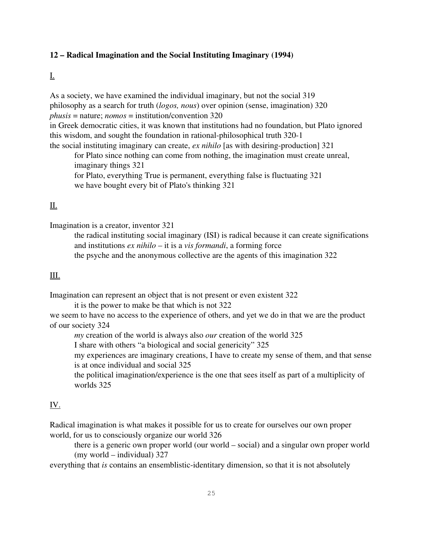## 12 – Radical Imagination and the Social Instituting Imaginary (1994)

## I.

As a society, we have examined the individual imaginary, but not the social 319 philosophy as a search for truth (*logos, nous*) over opinion (sense, imagination) 320 *phusis* = nature; *nomos* = institution/convention 320 in Greek democratic cities, it was known that institutions had no foundation, but Plato ignored this wisdom, and sought the foundation in rational-philosophical truth 320-1 the social instituting imaginary can create, *ex nihilo* [as with desiring-production] 321 for Plato since nothing can come from nothing, the imagination must create unreal,

imaginary things 321 for Plato, everything True is permanent, everything false is fluctuating 321 we have bought every bit of Plato's thinking 321

## II.

Imagination is a creator, inventor 321

the radical instituting social imaginary (ISI) is radical because it can create significations and institutions *ex nihilo* – it is a *vis formandi*, a forming force the psyche and the anonymous collective are the agents of this imagination 322

### III.

Imagination can represent an object that is not present or even existent 322

it is the power to make be that which is not 322

we seem to have no access to the experience of others, and yet we do in that we are the product of our society 324

*my* creation of the world is always also *our* creation of the world 325

I share with others "a biological and social genericity" 325

my experiences are imaginary creations, I have to create my sense of them, and that sense is at once individual and social 325

the political imagination/experience is the one that sees itself as part of a multiplicity of worlds 325

## IV.

Radical imagination is what makes it possible for us to create for ourselves our own proper world, for us to consciously organize our world 326

there is a generic own proper world (our world – social) and a singular own proper world (my world – individual) 327

everything that *is* contains an ensemblistic-identitary dimension, so that it is not absolutely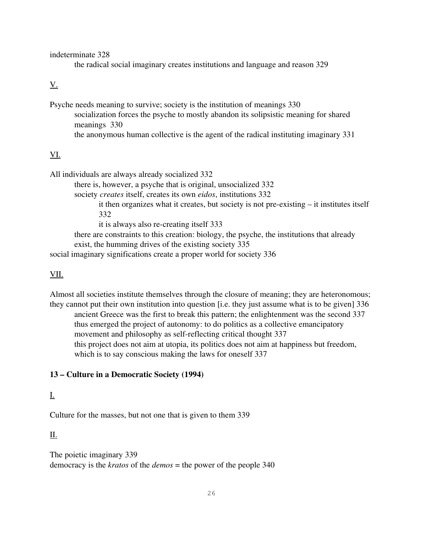indeterminate 328

the radical social imaginary creates institutions and language and reason 329

## V.

Psyche needs meaning to survive; society is the institution of meanings 330 socialization forces the psyche to mostly abandon its solipsistic meaning for shared meanings 330 the anonymous human collective is the agent of the radical instituting imaginary 331

# VI.

All individuals are always already socialized 332 there is, however, a psyche that is original, unsocialized 332 society *creates* itself, creates its own *eidos*, institutions 332 it then organizes what it creates, but society is not pre-existing  $-$  it institutes itself 332 it is always also re-creating itself 333 there are constraints to this creation: biology, the psyche, the institutions that already exist, the humming drives of the existing society 335 social imaginary significations create a proper world for society 336

## VII.

Almost all societies institute themselves through the closure of meaning; they are heteronomous; they cannot put their own institution into question [i.e. they just assume what is to be given] 336 ancient Greece was the first to break this pattern; the enlightenment was the second 337 thus emerged the project of autonomy: to do politics as a collective emancipatory movement and philosophy as self-reflecting critical thought 337 this project does not aim at utopia, its politics does not aim at happiness but freedom, which is to say conscious making the laws for oneself 337

## 13 – Culture in a Democratic Society (1994)

## I.

Culture for the masses, but not one that is given to them 339

## II.

The poietic imaginary 339 democracy is the *kratos* of the *demos* = the power of the people 340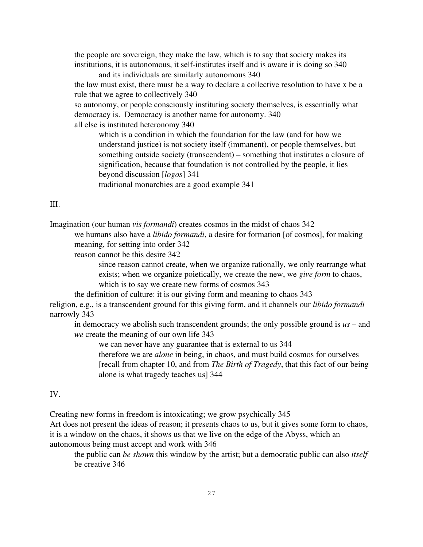the people are sovereign, they make the law, which is to say that society makes its institutions, it is autonomous, it self-institutes itself and is aware it is doing so 340

and its individuals are similarly autonomous 340

the law must exist, there must be a way to declare a collective resolution to have x be a rule that we agree to collectively 340

so autonomy, or people consciously instituting society themselves, is essentially what democracy is. Democracy is another name for autonomy. 340

all else is instituted heteronomy 340

which is a condition in which the foundation for the law (and for how we understand justice) is not society itself (immanent), or people themselves, but something outside society (transcendent) – something that institutes a closure of signification, because that foundation is not controlled by the people, it lies beyond discussion [*logos*] 341 traditional monarchies are a good example 341

## III.

Imagination (our human *vis formandi*) creates cosmos in the midst of chaos 342 we humans also have a *libido formandi*, a desire for formation [of cosmos], for making meaning, for setting into order 342

reason cannot be this desire 342

since reason cannot create, when we organize rationally, we only rearrange what exists; when we organize poietically, we create the new, we *give form* to chaos, which is to say we create new forms of cosmos 343

the definition of culture: it is our giving form and meaning to chaos 343

religion, e.g., is a transcendent ground for this giving form, and it channels our *libido formandi*  narrowly 343

in democracy we abolish such transcendent grounds; the only possible ground is *us* – and *we* create the meaning of our own life 343

we can never have any guarantee that is external to us 344

therefore we are *alone* in being, in chaos, and must build cosmos for ourselves [recall from chapter 10, and from *The Birth of Tragedy*, that this fact of our being alone is what tragedy teaches us] 344

# IV.

Creating new forms in freedom is intoxicating; we grow psychically 345

Art does not present the ideas of reason; it presents chaos to us, but it gives some form to chaos, it is a window on the chaos, it shows us that we live on the edge of the Abyss, which an autonomous being must accept and work with 346

the public can *be shown* this window by the artist; but a democratic public can also *itself*  be creative 346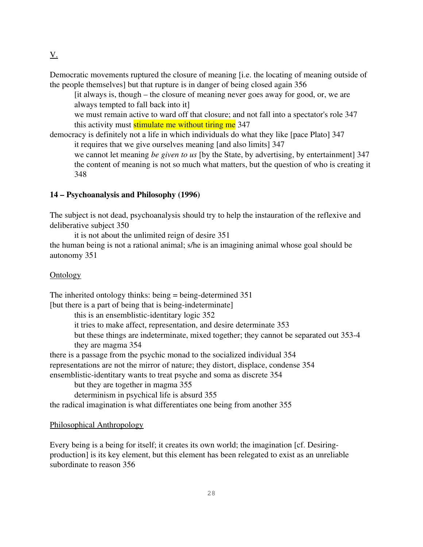Democratic movements ruptured the closure of meaning [i.e. the locating of meaning outside of the people themselves] but that rupture is in danger of being closed again 356

[it always is, though – the closure of meaning never goes away for good, or, we are always tempted to fall back into it]

we must remain active to ward off that closure; and not fall into a spectator's role 347 this activity must stimulate me without tiring me 347

democracy is definitely not a life in which individuals do what they like [pace Plato] 347 it requires that we give ourselves meaning [and also limits] 347

we cannot let meaning *be given to us* [by the State, by advertising, by entertainment] 347 the content of meaning is not so much what matters, but the question of who is creating it 348

## 14 – Psychoanalysis and Philosophy (1996)

The subject is not dead, psychoanalysis should try to help the instauration of the reflexive and deliberative subject 350

it is not about the unlimited reign of desire 351

the human being is not a rational animal; s/he is an imagining animal whose goal should be autonomy 351

### **Ontology**

The inherited ontology thinks: being  $=$  being-determined 351 [but there is a part of being that is being-indeterminate] this is an ensemblistic-identitary logic 352 it tries to make affect, representation, and desire determinate 353 but these things are indeterminate, mixed together; they cannot be separated out 353-4 they are magma 354

there is a passage from the psychic monad to the socialized individual 354 representations are not the mirror of nature; they distort, displace, condense 354 ensemblistic-identitary wants to treat psyche and soma as discrete 354

but they are together in magma 355

determinism in psychical life is absurd 355

the radical imagination is what differentiates one being from another 355

### Philosophical Anthropology

Every being is a being for itself; it creates its own world; the imagination [cf. Desiringproduction] is its key element, but this element has been relegated to exist as an unreliable subordinate to reason 356

 $\underline{V}$ .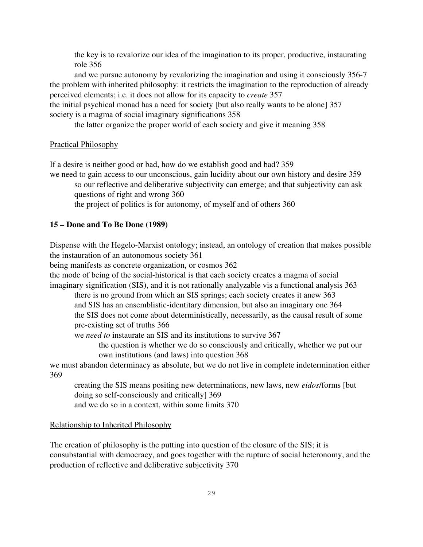the key is to revalorize our idea of the imagination to its proper, productive, instaurating role 356

and we pursue autonomy by revalorizing the imagination and using it consciously 356-7 the problem with inherited philosophy: it restricts the imagination to the reproduction of already perceived elements; i.e. it does not allow for its capacity to *create* 357

the initial psychical monad has a need for society [but also really wants to be alone] 357 society is a magma of social imaginary significations 358

the latter organize the proper world of each society and give it meaning 358

### Practical Philosophy

If a desire is neither good or bad, how do we establish good and bad? 359

we need to gain access to our unconscious, gain lucidity about our own history and desire 359 so our reflective and deliberative subjectivity can emerge; and that subjectivity can ask questions of right and wrong 360

the project of politics is for autonomy, of myself and of others 360

#### 15 – Done and To Be Done (1989)

Dispense with the Hegelo-Marxist ontology; instead, an ontology of creation that makes possible the instauration of an autonomous society 361

being manifests as concrete organization, or cosmos 362

the mode of being of the social-historical is that each society creates a magma of social imaginary signification (SIS), and it is not rationally analyzable vis a functional analysis 363

there is no ground from which an SIS springs; each society creates it anew 363 and SIS has an ensemblistic-identitary dimension, but also an imaginary one 364 the SIS does not come about deterministically, necessarily, as the causal result of some pre-existing set of truths 366

we *need to* instaurate an SIS and its institutions to survive 367

the question is whether we do so consciously and critically, whether we put our own institutions (and laws) into question 368

we must abandon determinacy as absolute, but we do not live in complete indetermination either 369

creating the SIS means positing new determinations, new laws, new *eidos*/forms [but doing so self-consciously and critically] 369 and we do so in a context, within some limits 370

#### Relationship to Inherited Philosophy

The creation of philosophy is the putting into question of the closure of the SIS; it is consubstantial with democracy, and goes together with the rupture of social heteronomy, and the production of reflective and deliberative subjectivity 370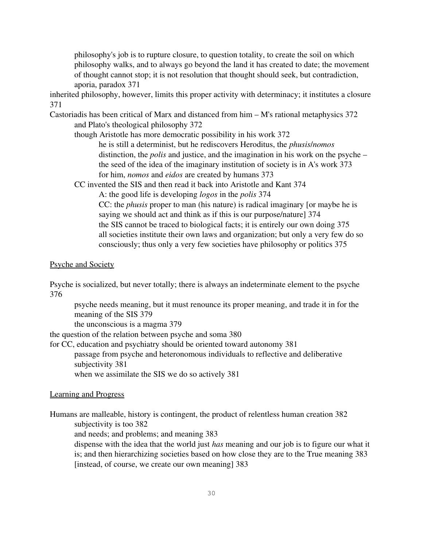philosophy's job is to rupture closure, to question totality, to create the soil on which philosophy walks, and to always go beyond the land it has created to date; the movement of thought cannot stop; it is not resolution that thought should seek, but contradiction, aporia, paradox 371

inherited philosophy, however, limits this proper activity with determinacy; it institutes a closure 371

Castoriadis has been critical of Marx and distanced from him – M's rational metaphysics 372 and Plato's theological philosophy 372

though Aristotle has more democratic possibility in his work 372

he is still a determinist, but he rediscovers Heroditus, the *phusis*/*nomos* distinction, the *polis* and justice, and the imagination in his work on the psyche – the seed of the idea of the imaginary institution of society is in A's work 373 for him, *nomos* and *eidos* are created by humans 373

CC invented the SIS and then read it back into Aristotle and Kant 374

A: the good life is developing *logos* in the *polis* 374 CC: the *phusis* proper to man (his nature) is radical imaginary [or maybe he is saying we should act and think as if this is our purpose/nature] 374 the SIS cannot be traced to biological facts; it is entirely our own doing 375 all societies institute their own laws and organization; but only a very few do so consciously; thus only a very few societies have philosophy or politics 375

## Psyche and Society

Psyche is socialized, but never totally; there is always an indeterminate element to the psyche 376

psyche needs meaning, but it must renounce its proper meaning, and trade it in for the meaning of the SIS 379

the unconscious is a magma 379

the question of the relation between psyche and soma 380

for CC, education and psychiatry should be oriented toward autonomy 381

passage from psyche and heteronomous individuals to reflective and deliberative subjectivity 381

when we assimilate the SIS we do so actively 381

### Learning and Progress

Humans are malleable, history is contingent, the product of relentless human creation 382 subjectivity is too 382

and needs; and problems; and meaning 383

dispense with the idea that the world just *has* meaning and our job is to figure our what it is; and then hierarchizing societies based on how close they are to the True meaning 383 [instead, of course, we create our own meaning] 383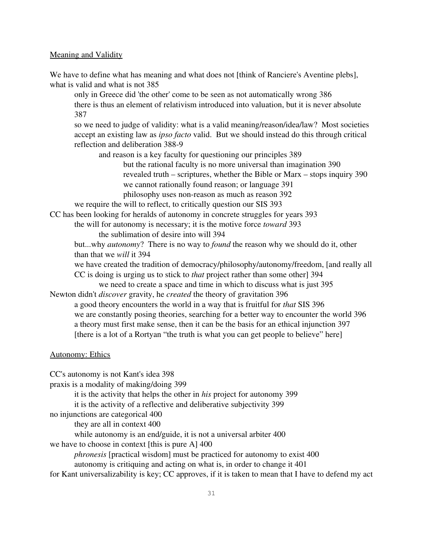### Meaning and Validity

We have to define what has meaning and what does not [think of Ranciere's Aventine plebs], what is valid and what is not 385

only in Greece did 'the other' come to be seen as not automatically wrong 386 there is thus an element of relativism introduced into valuation, but it is never absolute 387

so we need to judge of validity: what is a valid meaning/reason/idea/law? Most societies accept an existing law as *ipso facto* valid. But we should instead do this through critical reflection and deliberation 388-9

and reason is a key faculty for questioning our principles 389

but the rational faculty is no more universal than imagination 390 revealed truth – scriptures, whether the Bible or Marx – stops inquiry 390 we cannot rationally found reason; or language 391

philosophy uses non-reason as much as reason 392

we require the will to reflect, to critically question our SIS 393

CC has been looking for heralds of autonomy in concrete struggles for years 393

the will for autonomy is necessary; it is the motive force *toward* 393

the sublimation of desire into will 394

but...why *autonomy*? There is no way to *found* the reason why we should do it, other than that we *will* it 394

we have created the tradition of democracy/philosophy/autonomy/freedom, [and really all CC is doing is urging us to stick to *that* project rather than some other] 394

we need to create a space and time in which to discuss what is just 395 Newton didn't *discover* gravity, he *created* the theory of gravitation 396

a good theory encounters the world in a way that is fruitful for *that* SIS 396 we are constantly posing theories, searching for a better way to encounter the world 396 a theory must first make sense, then it can be the basis for an ethical injunction 397 [there is a lot of a Rortyan "the truth is what you can get people to believe" here]

### Autonomy: Ethics

CC's autonomy is not Kant's idea 398 praxis is a modality of making/doing 399 it is the activity that helps the other in *his* project for autonomy 399 it is the activity of a reflective and deliberative subjectivity 399 no injunctions are categorical 400 they are all in context 400 while autonomy is an end/guide, it is not a universal arbiter 400 we have to choose in context [this is pure A] 400 *phronesis* [practical wisdom] must be practiced for autonomy to exist 400 autonomy is critiquing and acting on what is, in order to change it 401 for Kant universalizability is key; CC approves, if it is taken to mean that I have to defend my act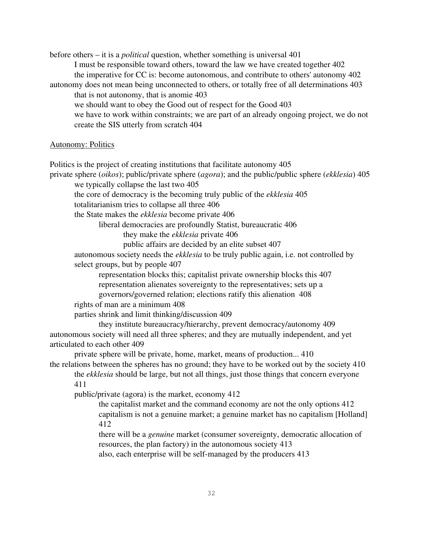before others – it is a *political* question, whether something is universal 401 I must be responsible toward others, toward the law we have created together 402 the imperative for CC is: become autonomous, and contribute to others' autonomy 402 autonomy does not mean being unconnected to others, or totally free of all determinations 403 that is not autonomy, that is anomie 403 we should want to obey the Good out of respect for the Good 403 we have to work within constraints; we are part of an already ongoing project, we do not create the SIS utterly from scratch 404

#### Autonomy: Politics

Politics is the project of creating institutions that facilitate autonomy 405 private sphere (*oikos*); public/private sphere (*agora*); and the public/public sphere (*ekklesia*) 405 we typically collapse the last two 405 the core of democracy is the becoming truly public of the *ekklesia* 405 totalitarianism tries to collapse all three 406 the State makes the *ekklesia* become private 406 liberal democracies are profoundly Statist, bureaucratic 406 they make the *ekklesia* private 406 public affairs are decided by an elite subset 407 autonomous society needs the *ekklesia* to be truly public again, i.e. not controlled by select groups, but by people 407 representation blocks this; capitalist private ownership blocks this 407 representation alienates sovereignty to the representatives; sets up a governors/governed relation; elections ratify this alienation 408 rights of man are a minimum 408 parties shrink and limit thinking/discussion 409 they institute bureaucracy/hierarchy, prevent democracy/autonomy 409 autonomous society will need all three spheres; and they are mutually independent, and yet articulated to each other 409 private sphere will be private, home, market, means of production... 410 the relations between the spheres has no ground; they have to be worked out by the society 410 the *ekklesia* should be large, but not all things, just those things that concern everyone 411 public/private (agora) is the market, economy 412 the capitalist market and the command economy are not the only options 412 capitalism is not a genuine market; a genuine market has no capitalism [Holland] 412

there will be a *genuine* market (consumer sovereignty, democratic allocation of resources, the plan factory) in the autonomous society 413 also, each enterprise will be self-managed by the producers 413